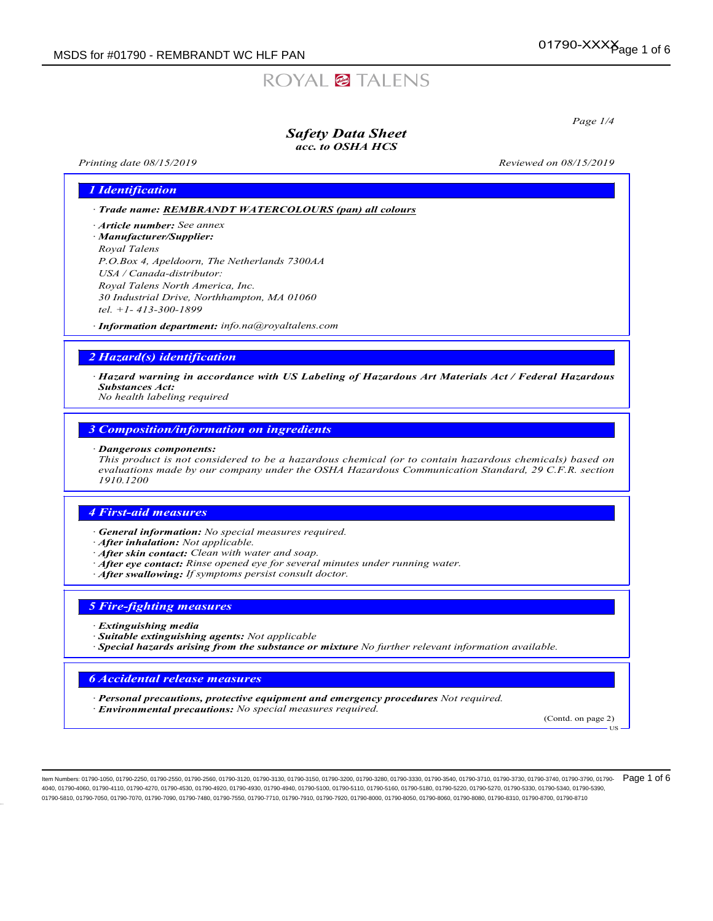# ROYAL<sup>2</sup> TALENS

Page 1/4

### Safety Data Sheet acc. to OSHA HCS

Printing date  $08/15/2019$  Reviewed on  $08/15/2019$ 

### 1 Identification

· Trade name: REMBRANDT WATERCOLOURS (pan) all colours

- · Article number: *See annex*
- · Manufacturer/Supplier: Royal Talens P.O.Box 4, Apeldoorn, The Netherlands 7300AA USA / Canada-distributor: Royal Talens North America, Inc. 30 Industrial Drive, Northhampton, MA 01060 tel. +1- 413-300-1899

· Information department: info.na@royaltalens.com

### 2 Hazard(s) identification

· Hazard warning in accordance with US Labeling of Hazardous Art Materials Act / Federal Hazardous Substances Act:

No health labeling required

### 3 Composition/information on ingredients

#### · Dangerous components:

This product is not considered to be a hazardous chemical (or to contain hazardous chemicals) based on evaluations made by our company under the OSHA Hazardous Communication Standard, 29 C.F.R. section 1910.1200

### 4 First-aid measures

- · General information: No special measures required.
- · After inhalation: Not applicable.
- · After skin contact: Clean with water and soap.
- · After eye contact: Rinse opened eye for several minutes under running water.
- · After swallowing: If symptoms persist consult doctor.

### 5 Fire-fighting measures

- **Extinguishing media**
- · Suitable extinguishing agents: Not applicable
- $\cdot$  Special hazards arising from the substance or mixture No further relevant information available.

### 6 Accidental release measures

· Personal precautions, protective equipment and emergency procedures Not required. · Environmental precautions: No special measures required.

(Contd. on page 2)

US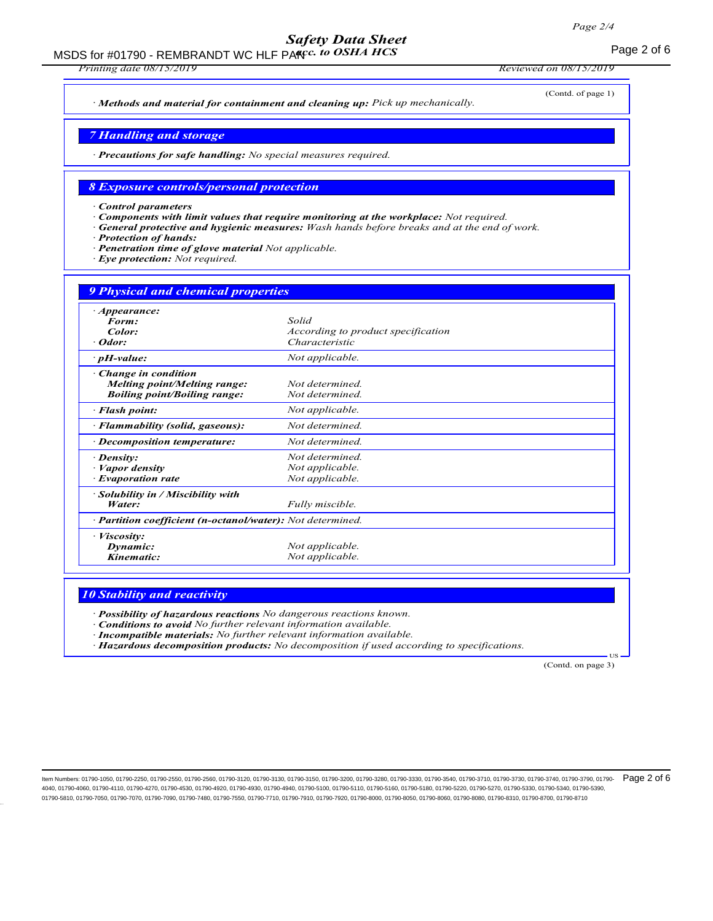# Safety Data Sheet

MSDS for #01790 - REMBRANDT WC HLF PAKIC. to OSHA HCS FOR CONTROLLER THE RAGGERY Of 6

Printing date 08/15/2019 Reviewed on 08/15/2019

(Contd. of page 1)

· Methods and material for containment and cleaning up: Pick up mechanically.

7 Handling and storage

· Precautions for safe handling: No special measures required.

### 8 Exposure controls/personal protection

· Control parameters

- Components with limit values that require monitoring at the workplace: Not required.
- General protective and hygienic measures: Wash hands before breaks and at the end of work.
- Protection of hands:
- Penetration time of glove material Not applicable.
- Eye protection: Not required.

| <b>9 Physical and chemical properties</b>                                                  |                                                               |  |
|--------------------------------------------------------------------------------------------|---------------------------------------------------------------|--|
| · <i>Appearance</i> :<br>Form:<br>Color:<br>Odor:                                          | Solid<br>According to product specification<br>Characteristic |  |
| $\cdot$ pH-value:                                                                          | Not applicable.                                               |  |
| Change in condition<br>Melting point/Melting range:<br><b>Boiling point/Boiling range:</b> | Not determined.<br>Not determined.                            |  |
| · Flash point:                                                                             | Not applicable.                                               |  |
| · Flammability (solid, gaseous):                                                           | Not determined.                                               |  |
| · Decomposition temperature:                                                               | Not determined.                                               |  |
| $\cdot$ Density:<br>Vapor density<br><b>Evaporation rate</b>                               | Not determined.<br>Not applicable.<br>Not applicable.         |  |
| Solubility in / Miscibility with<br>Water:                                                 | Fully miscible.                                               |  |
| · <b>Partition coefficient (n-octanol/water):</b> Not determined.                          |                                                               |  |
| · <i>Viscosity</i> :<br>Dynamic:<br>Kinematic:                                             | Not applicable.<br>Not applicable.                            |  |

### **10 Stability and reactivity**

Possibility of hazardous reactions No dangerous reactions known.

· Conditions to avoid No further relevant information available.

· Incompatible materials: No further relevant information available.

· Hazardous decomposition products: No decomposition if used according to specifications.

(Contd. on page 3)

**T<sub>IS</sub>**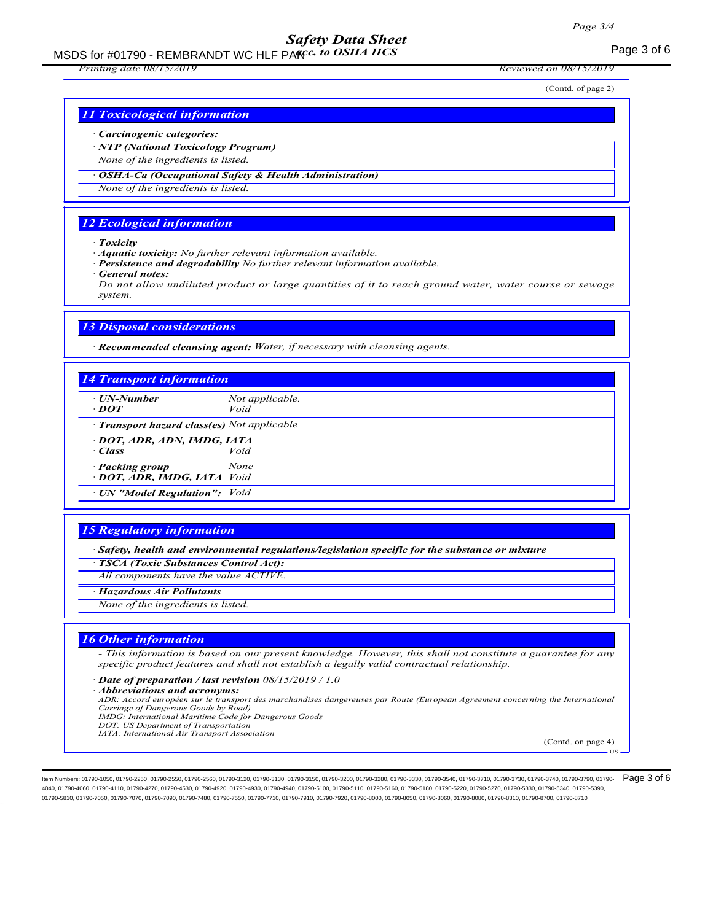# Safety Data Sheet

MSDS for #01790 - REMBRANDT WC HLF PAKIC. to OSHA HCS FOR CONTROLLER THE RAGGERY OF STREET AND RESERVE THE REG

Printing date 08/15/2019 Reviewed on 08/15/2019

(Contd. of page 2)

### 11 Toxicological information

#### · Carcinogenic categories:

· NTP (National Toxicology Program)

None of the ingredients is listed.

**OSHA-Ca (Occupational Safety & Health Administration)** 

None of the ingredients is listed.

### 12 Ecological information

· Toxicity

· Aquatic toxicity: No further relevant information available.

- Persistence and degradability No further relevant information available.
- General notes:

Do not allow undiluted product or large quantities of it to reach ground water, water course or sewage system.

### 13 Disposal considerations

· Recommended cleansing agent: Water, if necessary with cleansing agents.

## 14 Transport information UN-Number Not applicable.<br> **DOT** Void  $\cdot$  DOT · Transport hazard class(es) Not applicable · DOT, ADR, ADN, IMDG, IATA · Class Void **Packing group** None · DOT, ADR, IMDG, IATA Void · UN "Model Regulation": Void

#### 15 Regulatory information

· Safety, health and environmental regulations/legislation specific for the substance or mixture

· TSCA (Toxic Substances Control Act):

All components have the value ACTIVE.

· Hazardous Air Pollutants

None of the ingredients is listed.

### 16 Other information

- This information is based on our present knowledge. However, this shall not constitute a guarantee for any specific product features and shall not establish a legally valid contractual relationship.

· Date of preparation / last revision 08/15/2019 / 1.0

· Abbreviations and acronyms:

ADR: Accord européen sur le transport des marchandises dangereuses par Route (European Agreement concerning the International Carriage of Dangerous Goods by Road)

- IMDG: International Maritime Code for Dangerous Goods DOT: US Department of Transportation
- IATA: International Air Transport Association

(Contd. on page 4)

US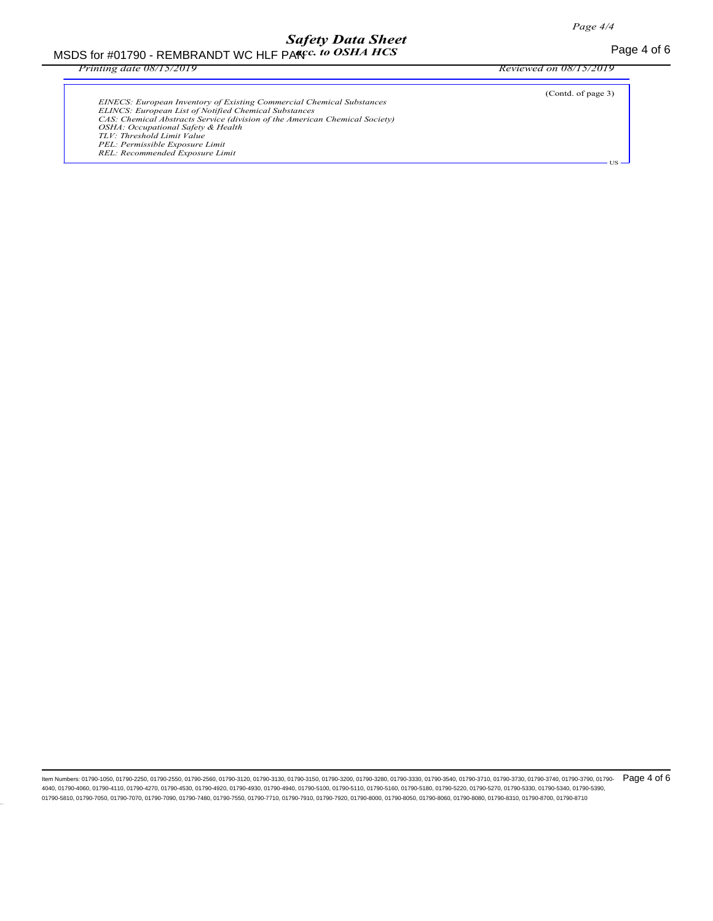# Safety Data Sheet

MSDS for #01790 - REMBRANDT WC HLF PAKIC for OSHA HCS The Second Second Second Page 4 of 6  $\alpha$ cc. to OSHA HCS

Printing date 08/15/2019 Reviewed on 08/15/2019

| <b>EINECS: European Inventory of Existing Commercial Chemical Substances</b><br>ELINCS: European List of Notified Chemical Substances<br>CAS: Chemical Abstracts Service (division of the American Chemical Society)<br>OSHA: Occupational Safety & Health<br>TLV: Threshold Limit Value<br>PEL: Permissible Exposure Limit<br>REL: Recommended Exposure Limit | (Contd. of page 3) |
|----------------------------------------------------------------------------------------------------------------------------------------------------------------------------------------------------------------------------------------------------------------------------------------------------------------------------------------------------------------|--------------------|
|                                                                                                                                                                                                                                                                                                                                                                |                    |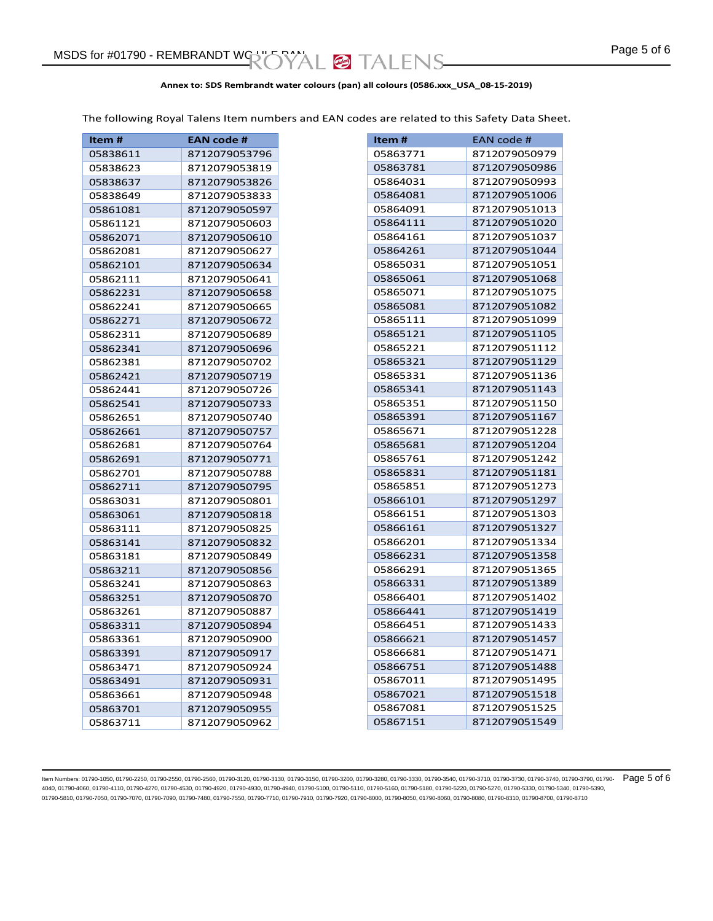### **Annex to: SDS Rembrandt water colours (pan) all colours (0586.xxx\_USA\_08-15-2019)**

The following Royal Talens Item numbers and EAN codes are related to this Safety Data Sheet.

| Item#    | <b>EAN code #</b> |
|----------|-------------------|
| 05838611 | 8712079053796     |
| 05838623 | 8712079053819     |
| 05838637 | 8712079053826     |
| 05838649 | 8712079053833     |
| 05861081 | 8712079050597     |
| 05861121 | 8712079050603     |
| 05862071 | 8712079050610     |
| 05862081 | 8712079050627     |
| 05862101 | 8712079050634     |
| 05862111 | 8712079050641     |
| 05862231 | 8712079050658     |
| 05862241 | 8712079050665     |
| 05862271 | 8712079050672     |
| 05862311 | 8712079050689     |
| 05862341 | 8712079050696     |
| 05862381 | 8712079050702     |
| 05862421 | 8712079050719     |
| 05862441 | 8712079050726     |
| 05862541 | 8712079050733     |
| 05862651 | 8712079050740     |
| 05862661 | 8712079050757     |
| 05862681 | 8712079050764     |
| 05862691 | 8712079050771     |
| 05862701 | 8712079050788     |
| 05862711 | 8712079050795     |
| 05863031 | 8712079050801     |
| 05863061 | 8712079050818     |
| 05863111 | 8712079050825     |
| 05863141 | 8712079050832     |
| 05863181 | 8712079050849     |
| 05863211 | 8712079050856     |
| 05863241 | 8712079050863     |
| 05863251 | 8712079050870     |
| 05863261 | 8712079050887     |
| 05863311 | 8712079050894     |
| 05863361 | 8712079050900     |
| 05863391 | 8712079050917     |
| 05863471 | 8712079050924     |
| 05863491 | 8712079050931     |
| 05863661 | 8712079050948     |
| 05863701 | 8712079050955     |
| 05863711 | 8712079050962     |

| Item#    | EAN code #    |
|----------|---------------|
| 05863771 | 8712079050979 |
| 05863781 | 8712079050986 |
| 05864031 | 8712079050993 |
| 05864081 | 8712079051006 |
|          |               |
| 05864091 | 8712079051013 |
| 05864111 | 8712079051020 |
| 05864161 | 8712079051037 |
| 05864261 | 8712079051044 |
| 05865031 | 8712079051051 |
| 05865061 | 8712079051068 |
| 05865071 | 8712079051075 |
| 05865081 | 8712079051082 |
| 05865111 | 8712079051099 |
| 05865121 | 8712079051105 |
| 05865221 | 8712079051112 |
| 05865321 | 8712079051129 |
| 05865331 | 8712079051136 |
| 05865341 | 8712079051143 |
| 05865351 | 8712079051150 |
| 05865391 | 8712079051167 |
| 05865671 | 8712079051228 |
| 05865681 | 8712079051204 |
| 05865761 | 8712079051242 |
| 05865831 | 8712079051181 |
| 05865851 | 8712079051273 |
| 05866101 | 8712079051297 |
| 05866151 | 8712079051303 |
| 05866161 | 8712079051327 |
| 05866201 | 8712079051334 |
| 05866231 | 8712079051358 |
| 05866291 | 8712079051365 |
| 05866331 | 8712079051389 |
| 05866401 | 8712079051402 |
| 05866441 | 8712079051419 |
| 05866451 | 8712079051433 |
| 05866621 | 8712079051457 |
| 05866681 | 8712079051471 |
| 05866751 | 8712079051488 |
| 05867011 | 8712079051495 |
| 05867021 | 8712079051518 |
| 05867081 | 8712079051525 |
| 05867151 | 8712079051549 |